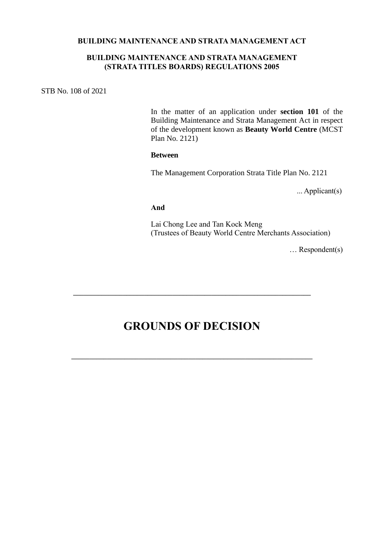#### **BUILDING MAINTENANCE AND STRATA MANAGEMENT ACT**

## **BUILDING MAINTENANCE AND STRATA MANAGEMENT (STRATA TITLES BOARDS) REGULATIONS 2005**

STB No. 108 of 2021

In the matter of an application under **section 101** of the Building Maintenance and Strata Management Act in respect of the development known as **Beauty World Centre** (MCST Plan No. 2121)

#### **Between**

The Management Corporation Strata Title Plan No. 2121

... Applicant(s)

#### **And**

Lai Chong Lee and Tan Kock Meng (Trustees of Beauty World Centre Merchants Association)

… Respondent(s)

# **GROUNDS OF DECISION**

**\_\_\_\_\_\_\_\_\_\_\_\_\_\_\_\_\_\_\_\_\_\_\_\_\_\_\_\_\_\_\_\_\_\_\_\_\_\_\_\_\_\_\_\_\_\_\_\_\_\_\_\_\_\_\_\_\_\_\_\_\_\_\_\_\_\_\_\_**

**\_\_\_\_\_\_\_\_\_\_\_\_\_\_\_\_\_\_\_\_\_\_\_\_\_\_\_\_\_\_\_\_\_\_\_\_\_\_\_\_\_\_\_\_\_\_\_\_\_\_\_\_\_\_\_\_\_\_\_\_\_\_\_\_\_\_\_**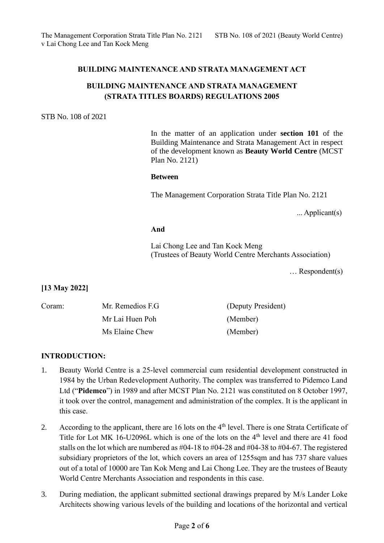# **BUILDING MAINTENANCE AND STRATA MANAGEMENT ACT**

# **BUILDING MAINTENANCE AND STRATA MANAGEMENT (STRATA TITLES BOARDS) REGULATIONS 2005**

#### STB No. 108 of 2021

In the matter of an application under **section 101** of the Building Maintenance and Strata Management Act in respect of the development known as **Beauty World Centre** (MCST Plan No. 2121)

#### **Between**

The Management Corporation Strata Title Plan No. 2121

... Applicant(s)

## **And**

Lai Chong Lee and Tan Kock Meng (Trustees of Beauty World Centre Merchants Association)

… Respondent(s)

## **[13 May 2022]**

| Coram: | Mr. Remedios F.G. | (Deputy President) |
|--------|-------------------|--------------------|
|        | Mr Lai Huen Poh   | (Member)           |
|        | Ms Elaine Chew    | (Member)           |

## **INTRODUCTION:**

- 1. Beauty World Centre is a 25-level commercial cum residential development constructed in 1984 by the Urban Redevelopment Authority. The complex was transferred to Pidemco Land Ltd ("**Pidemco**") in 1989 and after MCST Plan No. 2121 was constituted on 8 October 1997, it took over the control, management and administration of the complex. It is the applicant in this case.
- 2. According to the applicant, there are 16 lots on the 4<sup>th</sup> level. There is one Strata Certificate of Title for Lot MK 16-U2096L which is one of the lots on the  $4<sup>th</sup>$  level and there are 41 food stalls on the lot which are numbered as #04-18 to #04-28 and #04-38 to #04-67. The registered subsidiary proprietors of the lot, which covers an area of 1255sqm and has 737 share values out of a total of 10000 are Tan Kok Meng and Lai Chong Lee. They are the trustees of Beauty World Centre Merchants Association and respondents in this case.
- 3. During mediation, the applicant submitted sectional drawings prepared by M/s Lander Loke Architects showing various levels of the building and locations of the horizontal and vertical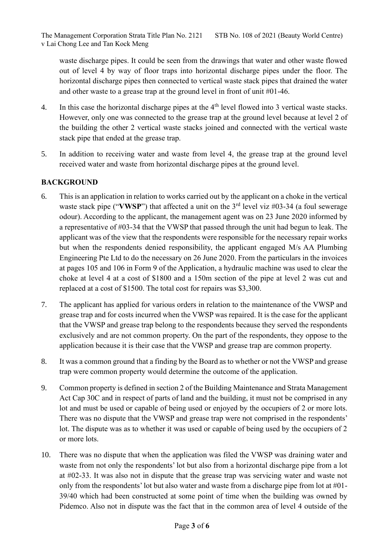waste discharge pipes. It could be seen from the drawings that water and other waste flowed out of level 4 by way of floor traps into horizontal discharge pipes under the floor. The horizontal discharge pipes then connected to vertical waste stack pipes that drained the water and other waste to a grease trap at the ground level in front of unit #01-46.

- 4. In this case the horizontal discharge pipes at the 4<sup>th</sup> level flowed into 3 vertical waste stacks. However, only one was connected to the grease trap at the ground level because at level 2 of the building the other 2 vertical waste stacks joined and connected with the vertical waste stack pipe that ended at the grease trap.
- 5. In addition to receiving water and waste from level 4, the grease trap at the ground level received water and waste from horizontal discharge pipes at the ground level.

# **BACKGROUND**

- 6. This is an application in relation to works carried out by the applicant on a choke in the vertical waste stack pipe ("VWSP") that affected a unit on the 3<sup>rd</sup> level viz #03-34 (a foul sewerage odour). According to the applicant, the management agent was on 23 June 2020 informed by a representative of #03-34 that the VWSP that passed through the unit had begun to leak. The applicant was of the view that the respondents were responsible for the necessary repair works but when the respondents denied responsibility, the applicant engaged M/s AA Plumbing Engineering Pte Ltd to do the necessary on 26 June 2020. From the particulars in the invoices at pages 105 and 106 in Form 9 of the Application, a hydraulic machine was used to clear the choke at level 4 at a cost of \$1800 and a 150m section of the pipe at level 2 was cut and replaced at a cost of \$1500. The total cost for repairs was \$3,300.
- 7. The applicant has applied for various orders in relation to the maintenance of the VWSP and grease trap and for costs incurred when the VWSP was repaired. It is the case for the applicant that the VWSP and grease trap belong to the respondents because they served the respondents exclusively and are not common property. On the part of the respondents, they oppose to the application because it is their case that the VWSP and grease trap are common property.
- 8. It was a common ground that a finding by the Board as to whether or not the VWSP and grease trap were common property would determine the outcome of the application.
- 9. Common property is defined in section 2 of the Building Maintenance and Strata Management Act Cap 30C and in respect of parts of land and the building, it must not be comprised in any lot and must be used or capable of being used or enjoyed by the occupiers of 2 or more lots. There was no dispute that the VWSP and grease trap were not comprised in the respondents' lot. The dispute was as to whether it was used or capable of being used by the occupiers of 2 or more lots.
- 10. There was no dispute that when the application was filed the VWSP was draining water and waste from not only the respondents' lot but also from a horizontal discharge pipe from a lot at #02-33. It was also not in dispute that the grease trap was servicing water and waste not only from the respondents' lot but also water and waste from a discharge pipe from lot at #01- 39/40 which had been constructed at some point of time when the building was owned by Pidemco. Also not in dispute was the fact that in the common area of level 4 outside of the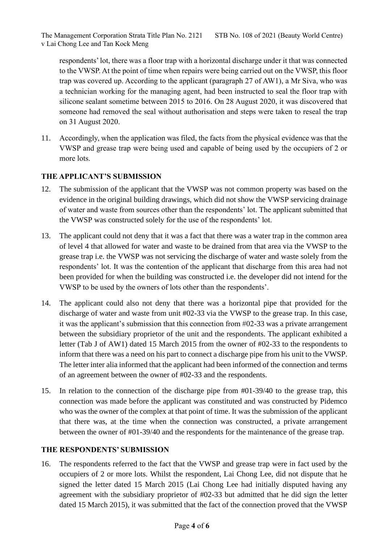respondents' lot, there was a floor trap with a horizontal discharge under it that was connected to the VWSP. At the point of time when repairs were being carried out on the VWSP, this floor trap was covered up. According to the applicant (paragraph 27 of AW1), a Mr Siva, who was a technician working for the managing agent, had been instructed to seal the floor trap with silicone sealant sometime between 2015 to 2016. On 28 August 2020, it was discovered that someone had removed the seal without authorisation and steps were taken to reseal the trap on 31 August 2020.

11. Accordingly, when the application was filed, the facts from the physical evidence was that the VWSP and grease trap were being used and capable of being used by the occupiers of 2 or more lots.

# **THE APPLICANT'S SUBMISSION**

- 12. The submission of the applicant that the VWSP was not common property was based on the evidence in the original building drawings, which did not show the VWSP servicing drainage of water and waste from sources other than the respondents' lot. The applicant submitted that the VWSP was constructed solely for the use of the respondents' lot.
- 13. The applicant could not deny that it was a fact that there was a water trap in the common area of level 4 that allowed for water and waste to be drained from that area via the VWSP to the grease trap i.e. the VWSP was not servicing the discharge of water and waste solely from the respondents' lot. It was the contention of the applicant that discharge from this area had not been provided for when the building was constructed i.e. the developer did not intend for the VWSP to be used by the owners of lots other than the respondents'.
- 14. The applicant could also not deny that there was a horizontal pipe that provided for the discharge of water and waste from unit #02-33 via the VWSP to the grease trap. In this case, it was the applicant's submission that this connection from #02-33 was a private arrangement between the subsidiary proprietor of the unit and the respondents. The applicant exhibited a letter (Tab J of AW1) dated 15 March 2015 from the owner of #02-33 to the respondents to inform that there was a need on his part to connect a discharge pipe from his unit to the VWSP. The letter inter alia informed that the applicant had been informed of the connection and terms of an agreement between the owner of #02-33 and the respondents.
- 15. In relation to the connection of the discharge pipe from #01-39/40 to the grease trap, this connection was made before the applicant was constituted and was constructed by Pidemco who was the owner of the complex at that point of time. It was the submission of the applicant that there was, at the time when the connection was constructed, a private arrangement between the owner of #01-39/40 and the respondents for the maintenance of the grease trap.

# **THE RESPONDENTS' SUBMISSION**

16. The respondents referred to the fact that the VWSP and grease trap were in fact used by the occupiers of 2 or more lots. Whilst the respondent, Lai Chong Lee, did not dispute that he signed the letter dated 15 March 2015 (Lai Chong Lee had initially disputed having any agreement with the subsidiary proprietor of #02-33 but admitted that he did sign the letter dated 15 March 2015), it was submitted that the fact of the connection proved that the VWSP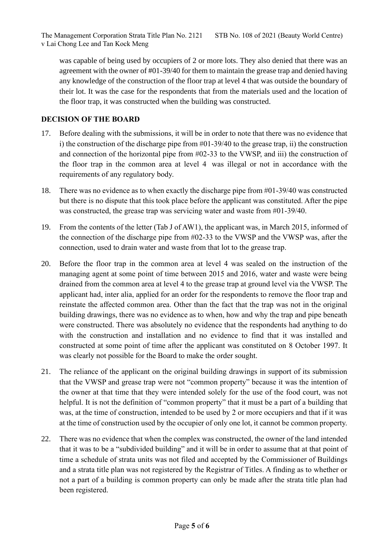was capable of being used by occupiers of 2 or more lots. They also denied that there was an agreement with the owner of #01-39/40 for them to maintain the grease trap and denied having any knowledge of the construction of the floor trap at level 4 that was outside the boundary of their lot. It was the case for the respondents that from the materials used and the location of the floor trap, it was constructed when the building was constructed.

# **DECISION OF THE BOARD**

- 17. Before dealing with the submissions, it will be in order to note that there was no evidence that i) the construction of the discharge pipe from #01-39/40 to the grease trap, ii) the construction and connection of the horizontal pipe from #02-33 to the VWSP, and iii) the construction of the floor trap in the common area at level 4 was illegal or not in accordance with the requirements of any regulatory body.
- 18. There was no evidence as to when exactly the discharge pipe from #01-39/40 was constructed but there is no dispute that this took place before the applicant was constituted. After the pipe was constructed, the grease trap was servicing water and waste from #01-39/40.
- 19. From the contents of the letter (Tab J of AW1), the applicant was, in March 2015, informed of the connection of the discharge pipe from #02-33 to the VWSP and the VWSP was, after the connection, used to drain water and waste from that lot to the grease trap.
- 20. Before the floor trap in the common area at level 4 was sealed on the instruction of the managing agent at some point of time between 2015 and 2016, water and waste were being drained from the common area at level 4 to the grease trap at ground level via the VWSP. The applicant had, inter alia, applied for an order for the respondents to remove the floor trap and reinstate the affected common area. Other than the fact that the trap was not in the original building drawings, there was no evidence as to when, how and why the trap and pipe beneath were constructed. There was absolutely no evidence that the respondents had anything to do with the construction and installation and no evidence to find that it was installed and constructed at some point of time after the applicant was constituted on 8 October 1997. It was clearly not possible for the Board to make the order sought.
- 21. The reliance of the applicant on the original building drawings in support of its submission that the VWSP and grease trap were not "common property" because it was the intention of the owner at that time that they were intended solely for the use of the food court, was not helpful. It is not the definition of "common property" that it must be a part of a building that was, at the time of construction, intended to be used by 2 or more occupiers and that if it was at the time of construction used by the occupier of only one lot, it cannot be common property.
- 22. There was no evidence that when the complex was constructed, the owner of the land intended that it was to be a "subdivided building" and it will be in order to assume that at that point of time a schedule of strata units was not filed and accepted by the Commissioner of Buildings and a strata title plan was not registered by the Registrar of Titles. A finding as to whether or not a part of a building is common property can only be made after the strata title plan had been registered.